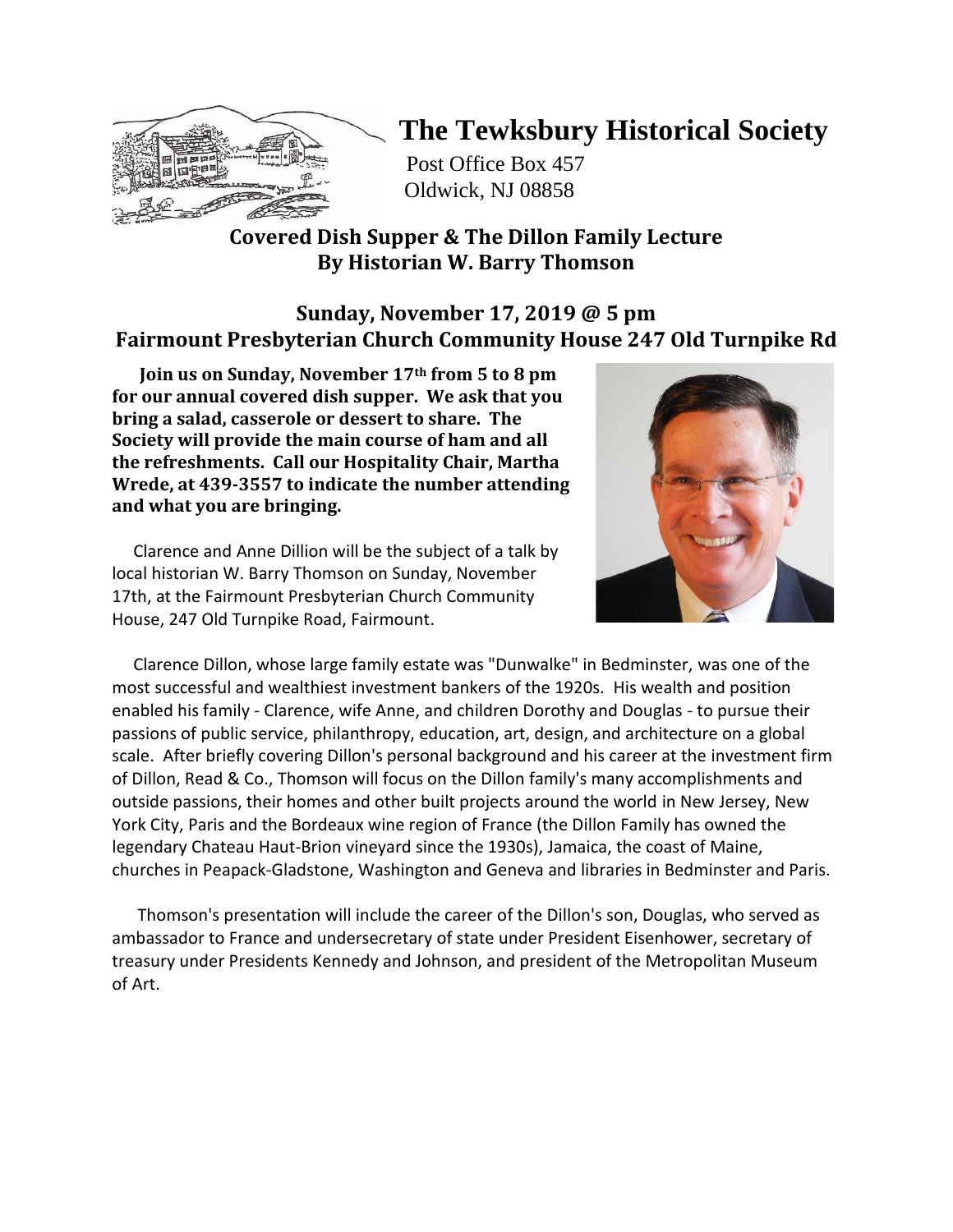

# **The Tewksbury Historical Society**

Post Office Box 457 Oldwick, NJ 08858

# **Covered Dish Supper & The Dillon Family Lecture By Historian W. Barry Thomson**

# **Sunday, November 17, 2019 @ 5 pm Fairmount Presbyterian Church Community House 247 Old Turnpike Rd**

 **Join us on Sunday, November 17th from 5 to 8 pm for our annual covered dish supper. We ask that you bring a salad, casserole or dessert to share. The Society will provide the main course of ham and all the refreshments. Call our Hospitality Chair, Martha Wrede, at 439-3557 to indicate the number attending and what you are bringing.** 

 Clarence and Anne Dillion will be the subject of a talk by local historian W. Barry Thomson on Sunday, November 17th, at the Fairmount Presbyterian Church Community House, 247 Old Turnpike Road, Fairmount.



 Clarence Dillon, whose large family estate was "Dunwalke" in Bedminster, was one of the most successful and wealthiest investment bankers of the 1920s. His wealth and position enabled his family - Clarence, wife Anne, and children Dorothy and Douglas - to pursue their passions of public service, philanthropy, education, art, design, and architecture on a global scale. After briefly covering Dillon's personal background and his career at the investment firm of Dillon, Read & Co., Thomson will focus on the Dillon family's many accomplishments and outside passions, their homes and other built projects around the world in New Jersey, New York City, Paris and the Bordeaux wine region of France (the Dillon Family has owned the legendary Chateau Haut-Brion vineyard since the 1930s), Jamaica, the coast of Maine, churches in Peapack-Gladstone, Washington and Geneva and libraries in Bedminster and Paris.

 Thomson's presentation will include the career of the Dillon's son, Douglas, who served as ambassador to France and undersecretary of state under President Eisenhower, secretary of treasury under Presidents Kennedy and Johnson, and president of the Metropolitan Museum of Art.